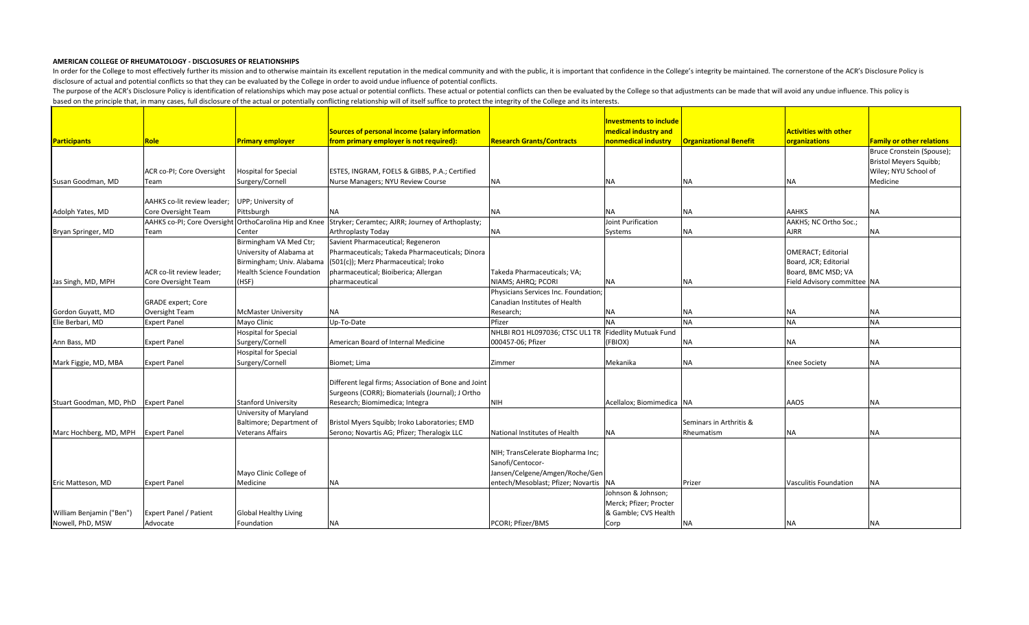|                          |                               |                                  |                                                                             |                                                       | <b>Investments to include</b> |                               |                              |                                  |
|--------------------------|-------------------------------|----------------------------------|-----------------------------------------------------------------------------|-------------------------------------------------------|-------------------------------|-------------------------------|------------------------------|----------------------------------|
|                          |                               |                                  | Sources of personal income (salary information                              |                                                       | medical industry and          |                               | <b>Activities with other</b> |                                  |
| <b>Participants</b>      | Role                          | <b>Primary employer</b>          | from primary employer is not required):                                     | <b>Research Grants/Contracts</b>                      | nonmedical industry           | <b>Organizational Benefit</b> | organizations                | <b>Family or other relations</b> |
|                          |                               |                                  |                                                                             |                                                       |                               |                               |                              | Bruce Cronstein (Spouse);        |
|                          |                               |                                  |                                                                             |                                                       |                               |                               |                              | Bristol Meyers Squibb;           |
|                          | ACR co-PI; Core Oversight     | Hospital for Special             | ESTES, INGRAM, FOELS & GIBBS, P.A.; Certified                               |                                                       |                               |                               |                              | Wiley; NYU School of             |
| Susan Goodman, MD        | Team                          | Surgery/Cornell                  | Nurse Managers; NYU Review Course                                           | <b>NA</b>                                             | NA                            | NA                            | NA                           | Medicine                         |
|                          |                               |                                  |                                                                             |                                                       |                               |                               |                              |                                  |
|                          | AAHKS co-lit review leader;   | UPP; University of               |                                                                             |                                                       |                               |                               |                              |                                  |
| Adolph Yates, MD         | Core Oversight Team           | Pittsburgh                       | INA.                                                                        | ΙNΑ                                                   | <b>NA</b>                     | <b>NA</b>                     | <b>AAHKS</b>                 | <b>NA</b>                        |
|                          | AAHKS co-PI; Core Oversight   |                                  | OrthoCarolina Hip and Knee Stryker; Ceramtec; AJRR; Journey of Arthoplasty; |                                                       | Joint Purification            |                               | AAKHS; NC Ortho Soc.;        |                                  |
| Bryan Springer, MD       | Team                          | Center                           | <b>Arthroplasty Today</b>                                                   | <b>NA</b>                                             | Systems                       | NA                            | <b>AJRR</b>                  | ΝA                               |
|                          |                               | Birmingham VA Med Ctr;           | Savient Pharmaceutical; Regeneron                                           |                                                       |                               |                               |                              |                                  |
|                          |                               | University of Alabama at         | Pharmaceuticals; Takeda Pharmaceuticals; Dinora                             |                                                       |                               |                               | OMERACT; Editorial           |                                  |
|                          |                               | Birmingham; Univ. Alabama        | (501(c)); Merz Pharmaceutical; Iroko                                        |                                                       |                               |                               | Board, JCR; Editorial        |                                  |
|                          | ACR co-lit review leader;     | <b>Health Science Foundation</b> | pharmaceutical; Bioiberica; Allergan                                        | Takeda Pharmaceuticals; VA;                           |                               |                               | Board, BMC MSD; VA           |                                  |
| Jas Singh, MD, MPH       | Core Oversight Team           | (HSF)                            | pharmaceutical                                                              | NIAMS; AHRQ; PCORI                                    | <b>NA</b>                     | <b>NA</b>                     | Field Advisory committee NA  |                                  |
|                          |                               |                                  |                                                                             | Physicians Services Inc. Foundation;                  |                               |                               |                              |                                  |
|                          | <b>GRADE</b> expert; Core     |                                  |                                                                             | Canadian Institutes of Health                         |                               |                               |                              |                                  |
| Gordon Guyatt, MD        | Oversight Team                | <b>McMaster University</b>       | <b>NA</b>                                                                   | Research;                                             | <b>NA</b>                     | <b>NA</b>                     | NΑ                           | ΝA                               |
| Elie Berbari, MD         | <b>Expert Panel</b>           | Mayo Clinic                      | Up-To-Date                                                                  | Pfizer                                                | <b>NA</b>                     | <b>NA</b>                     | <b>NA</b>                    | <b>NA</b>                        |
|                          |                               | <b>Hospital for Special</b>      |                                                                             | NHLBI RO1 HL097036; CTSC UL1 TR Fidedlity Mutuak Fund |                               |                               |                              |                                  |
| Ann Bass, MD             | <b>Expert Panel</b>           | Surgery/Cornell                  | American Board of Internal Medicine                                         | 000457-06; Pfizer                                     | (FBIOX)                       | <b>NA</b>                     | NA                           | NA                               |
|                          |                               | <b>Hospital for Special</b>      |                                                                             |                                                       |                               |                               |                              |                                  |
| Mark Figgie, MD, MBA     | <b>Expert Panel</b>           | Surgery/Cornell                  | Biomet; Lima                                                                | Zimmer                                                | Mekanika                      | <b>NA</b>                     | <b>Knee Society</b>          | <b>NA</b>                        |
|                          |                               |                                  |                                                                             |                                                       |                               |                               |                              |                                  |
|                          |                               |                                  | Different legal firms; Association of Bone and Joint                        |                                                       |                               |                               |                              |                                  |
|                          |                               |                                  | Surgeons (CORR); Biomaterials (Journal); J Ortho                            |                                                       |                               |                               |                              |                                  |
| Stuart Goodman, MD, PhD  | <b>Expert Panel</b>           | <b>Stanford University</b>       | Research; Biomimedica; Integra                                              | <b>NIH</b>                                            | Acellalox; Biomimedica   NA   |                               | AAOS                         | <b>NA</b>                        |
|                          |                               | University of Maryland           |                                                                             |                                                       |                               |                               |                              |                                  |
|                          |                               | Baltimore; Department of         | Bristol Myers Squibb; Iroko Laboratories; EMD                               |                                                       |                               | Seminars in Arthritis &       |                              |                                  |
| Marc Hochberg, MD, MPH   | <b>Expert Panel</b>           | <b>Veterans Affairs</b>          | Serono; Novartis AG; Pfizer; Theralogix LLC                                 | National Institutes of Health                         | <b>NA</b>                     | Rheumatism                    | NA                           | <b>NA</b>                        |
|                          |                               |                                  |                                                                             |                                                       |                               |                               |                              |                                  |
|                          |                               |                                  |                                                                             | NIH; TransCelerate Biopharma Inc;                     |                               |                               |                              |                                  |
|                          |                               |                                  |                                                                             | Sanofi/Centocor-                                      |                               |                               |                              |                                  |
|                          |                               | Mayo Clinic College of           |                                                                             | Jansen/Celgene/Amgen/Roche/Gen                        |                               |                               |                              |                                  |
| Eric Matteson, MD        | <b>Expert Panel</b>           | Medicine                         | <b>NA</b>                                                                   | entech/Mesoblast; Pfizer; Novartis NA                 |                               | Prizer                        | Vasculitis Foundation        | <b>NA</b>                        |
|                          |                               |                                  |                                                                             |                                                       | Johnson & Johnson;            |                               |                              |                                  |
|                          |                               |                                  |                                                                             |                                                       | Merck; Pfizer; Procter        |                               |                              |                                  |
| William Benjamin ("Ben") | <b>Expert Panel / Patient</b> | <b>Global Healthy Living</b>     |                                                                             |                                                       | & Gamble; CVS Health          |                               |                              |                                  |
| Nowell, PhD, MSW         | Advocate                      | Foundation                       | <b>NA</b>                                                                   | PCORI; Pfizer/BMS                                     | Corp                          | <b>NA</b>                     | <b>NA</b>                    | <b>NA</b>                        |

In order for the College to most effectively further its mission and to otherwise maintain its excellent reputation in the medical community and with the public, it is important that confidence in the College's integrity b disclosure of actual and potential conflicts so that they can be evaluated by the College in order to avoid undue influence of potential conflicts.

The purpose of the ACR's Disclosure Policy is identification of relationships which may pose actual or potential conflicts. These actual or potential conflicts can then be evaluated by the College so that adjustments can b based on the principle that, in many cases, full disclosure of the actual or potentially conflicting relationship will of itself suffice to protect the integrity of the College and its interests.

## **AMERICAN COLLEGE OF RHEUMATOLOGY - DISCLOSURES OF RELATIONSHIPS**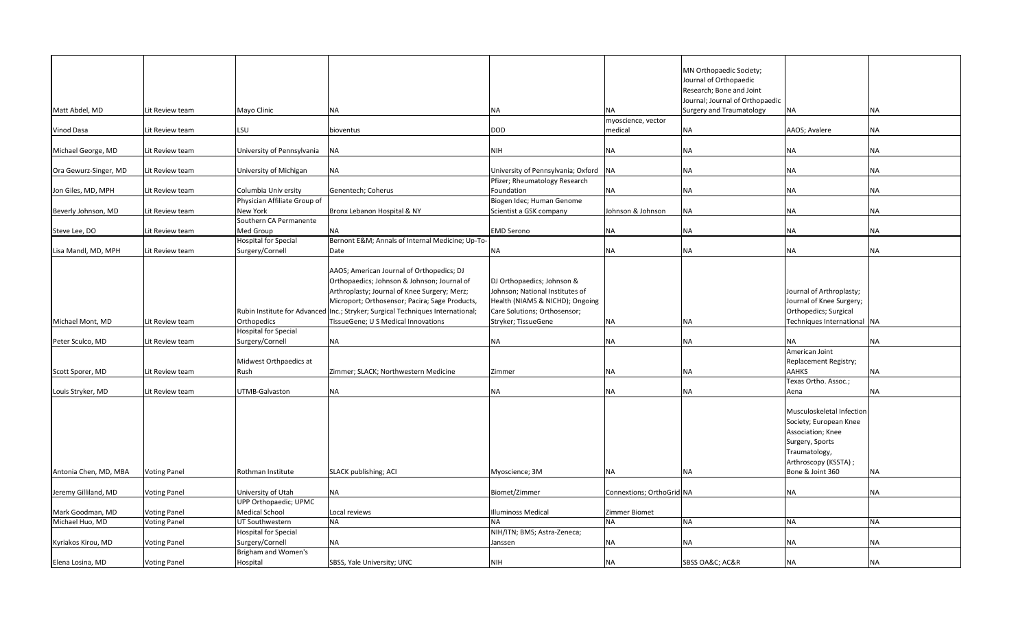|                       |                     |                              |                                                                                |                                    |                           | MN Orthopaedic Society;         |                             |           |
|-----------------------|---------------------|------------------------------|--------------------------------------------------------------------------------|------------------------------------|---------------------------|---------------------------------|-----------------------------|-----------|
|                       |                     |                              |                                                                                |                                    |                           | Journal of Orthopaedic          |                             |           |
|                       |                     |                              |                                                                                |                                    |                           | Research; Bone and Joint        |                             |           |
|                       |                     |                              |                                                                                |                                    |                           | Journal; Journal of Orthopaedic |                             |           |
| Matt Abdel, MD        | Lit Review team     | Mayo Clinic                  | <b>NA</b>                                                                      | NA                                 | NA.                       | Surgery and Traumatology        | NA                          | NA        |
|                       |                     |                              |                                                                                |                                    | myoscience, vector        |                                 |                             |           |
| Vinod Dasa            | Lit Review team     | <b>LSU</b>                   | bioventus                                                                      | <b>DOD</b>                         | medical                   | <b>NA</b>                       | AAOS; Avalere               | NA        |
|                       |                     |                              |                                                                                |                                    |                           |                                 |                             |           |
| Michael George, MD    | Lit Review team     | University of Pennsylvania   | <b>NA</b>                                                                      | <b>NIH</b>                         | NA                        | <b>NA</b>                       | <b>NA</b>                   | NA        |
|                       |                     |                              |                                                                                |                                    |                           |                                 |                             |           |
| Ora Gewurz-Singer, MD | Lit Review team     | University of Michigan       | <b>NA</b>                                                                      | University of Pennsylvania; Oxford | <b>NA</b>                 | ΝA                              | NA                          | <b>NA</b> |
|                       |                     |                              |                                                                                | Pfizer; Rheumatology Research      |                           |                                 |                             |           |
| Jon Giles, MD, MPH    | Lit Review team     | Columbia Univ ersity         | Genentech; Coherus                                                             | Foundation                         | <b>NA</b>                 | ΝA                              | NA                          | NA        |
|                       |                     | Physician Affiliate Group of |                                                                                | Biogen Idec; Human Genome          |                           |                                 |                             |           |
| Beverly Johnson, MD   | Lit Review team     | <b>New York</b>              | Bronx Lebanon Hospital & NY                                                    | Scientist a GSK company            | Johnson & Johnson         | <b>NA</b>                       | <b>NA</b>                   | NA        |
|                       |                     | Southern CA Permanente       |                                                                                |                                    |                           |                                 |                             |           |
| Steve Lee, DO         | Lit Review team     | Med Group                    | <b>NA</b>                                                                      | <b>EMD Serono</b>                  | <b>NA</b>                 | <b>NA</b>                       | NA                          | <b>NA</b> |
|                       |                     | <b>Hospital for Special</b>  | Bernont E&M Annals of Internal Medicine; Up-To-                                |                                    |                           |                                 |                             |           |
| Lisa Mandl, MD, MPH   | Lit Review team     | Surgery/Cornell              | Date                                                                           | <b>NA</b>                          | ΝA                        | ΝA                              | NA                          | NA        |
|                       |                     |                              |                                                                                |                                    |                           |                                 |                             |           |
|                       |                     |                              | AAOS; American Journal of Orthopedics; DJ                                      |                                    |                           |                                 |                             |           |
|                       |                     |                              | Orthopaedics; Johnson & Johnson; Journal of                                    | DJ Orthopaedics; Johnson &         |                           |                                 |                             |           |
|                       |                     |                              | Arthroplasty; Journal of Knee Surgery; Merz;                                   | Johnson; National Institutes of    |                           |                                 | Journal of Arthroplasty;    |           |
|                       |                     |                              | Microport; Orthosensor; Pacira; Sage Products,                                 | Health (NIAMS & NICHD); Ongoing    |                           |                                 | Journal of Knee Surgery;    |           |
|                       |                     |                              | Rubin Institute for Advanced Inc.; Stryker; Surgical Techniques International; | Care Solutions; Orthosensor;       |                           |                                 | Orthopedics; Surgical       |           |
| Michael Mont, MD      | Lit Review team     | Orthopedics                  | TissueGene; U S Medical Innovations                                            | Stryker; TissueGene                | <b>NA</b>                 | <b>NA</b>                       | Techniques International NA |           |
|                       |                     | <b>Hospital for Special</b>  |                                                                                |                                    |                           |                                 |                             |           |
| Peter Sculco, MD      | Lit Review team     | Surgery/Cornell              | <b>NA</b>                                                                      | ΝA                                 | ΝA                        | <b>NA</b>                       | ΝA                          | <b>NA</b> |
|                       |                     |                              |                                                                                |                                    |                           |                                 | American Joint              |           |
|                       |                     | Midwest Orthpaedics at       |                                                                                |                                    |                           |                                 | Replacement Registry;       |           |
| Scott Sporer, MD      | Lit Review team     | Rush                         | Zimmer; SLACK; Northwestern Medicine                                           | Zimmer                             | INA.                      | NA.                             | <b>AAHKS</b>                | NA        |
|                       |                     |                              |                                                                                |                                    |                           |                                 | Texas Ortho. Assoc.;        |           |
| Louis Stryker, MD     | Lit Review team     | UTMB-Galvaston               | <b>NA</b>                                                                      | ΝA                                 | <b>NA</b>                 | <b>NA</b>                       | Aena                        | <b>NA</b> |
|                       |                     |                              |                                                                                |                                    |                           |                                 |                             |           |
|                       |                     |                              |                                                                                |                                    |                           |                                 | Musculoskeletal Infection   |           |
|                       |                     |                              |                                                                                |                                    |                           |                                 | Society; European Knee      |           |
|                       |                     |                              |                                                                                |                                    |                           |                                 | Association; Knee           |           |
|                       |                     |                              |                                                                                |                                    |                           |                                 | Surgery, Sports             |           |
|                       |                     |                              |                                                                                |                                    |                           |                                 | Traumatology,               |           |
|                       |                     |                              |                                                                                |                                    |                           |                                 | Arthroscopy (KSSTA) ;       |           |
| Antonia Chen, MD, MBA | <b>Voting Panel</b> | Rothman Institute            | SLACK publishing; ACI                                                          | Myoscience; 3M                     | <b>NA</b>                 | <b>NA</b>                       | Bone & Joint 360            | <b>NA</b> |
|                       |                     |                              |                                                                                |                                    |                           |                                 |                             |           |
| Jeremy Gilliland, MD  | <b>Voting Panel</b> | University of Utah           | <b>NA</b>                                                                      | Biomet/Zimmer                      | Connextions; OrthoGrid NA |                                 | NA                          | <b>NA</b> |
|                       |                     | UPP Orthopaedic; UPMC        |                                                                                |                                    |                           |                                 |                             |           |
| Mark Goodman, MD      | <b>Voting Panel</b> | <b>Medical School</b>        | Local reviews                                                                  | <b>Illuminoss Medical</b>          | Zimmer Biomet             |                                 |                             |           |
| Michael Huo, MD       |                     | UT Southwestern              | <b>NA</b>                                                                      |                                    | <b>NA</b>                 | <b>NA</b>                       | <b>NA</b>                   | <b>NA</b> |
|                       | <b>Voting Panel</b> |                              |                                                                                | NA                                 |                           |                                 |                             |           |
|                       |                     | <b>Hospital for Special</b>  |                                                                                | NIH/ITN; BMS; Astra-Zeneca;        |                           |                                 |                             |           |
| Kyriakos Kirou, MD    | <b>Voting Panel</b> | Surgery/Cornell              | <b>NA</b>                                                                      | Janssen                            | <b>NA</b>                 | <b>NA</b>                       | ΝA                          | <b>NA</b> |
|                       |                     | Brigham and Women's          |                                                                                |                                    |                           |                                 |                             |           |
| Elena Losina, MD      | <b>Voting Panel</b> | Hospital                     | SBSS, Yale University; UNC                                                     | <b>NIH</b>                         | ΝA                        | SBSS OA&C AC&R                  | <b>NA</b>                   | NA        |